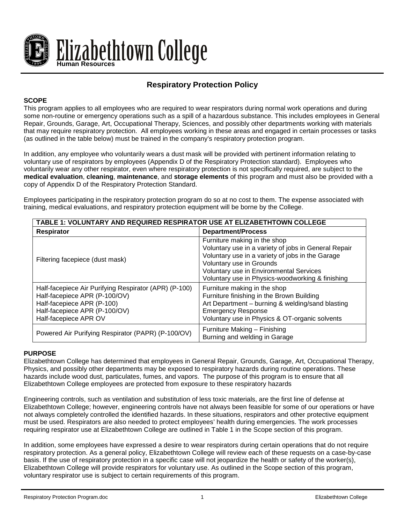

# **Respiratory Protection Policy**

# **SCOPE**

This program applies to all employees who are required to wear respirators during normal work operations and during some non-routine or emergency operations such as a spill of a hazardous substance. This includes employees in General Repair, Grounds, Garage, Art, Occupational Therapy, Sciences, and possibly other departments working with materials that may require respiratory protection. All employees working in these areas and engaged in certain processes or tasks (as outlined in the table below) must be trained in the company's respiratory protection program.

In addition, any employee who voluntarily wears a dust mask will be provided with pertinent information relating to voluntary use of respirators by employees (Appendix D of the Respiratory Protection standard). Employees who voluntarily wear any other respirator, even where respiratory protection is not specifically required, are subject to the **medical evaluation**, **cleaning**, **maintenance**, and **storage elements** of this program and must also be provided with a copy of Appendix D of the Respiratory Protection Standard.

Employees participating in the respiratory protection program do so at no cost to them. The expense associated with training, medical evaluations, and respiratory protection equipment will be borne by the College.

| <b>TABLE 1: VOLUNTARY AND REQUIRED RESPIRATOR USE AT ELIZABETHTOWN COLLEGE</b>                                                                                                 |                                                                                                                                                                                                                                                                     |  |  |
|--------------------------------------------------------------------------------------------------------------------------------------------------------------------------------|---------------------------------------------------------------------------------------------------------------------------------------------------------------------------------------------------------------------------------------------------------------------|--|--|
| <b>Respirator</b>                                                                                                                                                              | <b>Department/Process</b>                                                                                                                                                                                                                                           |  |  |
| Filtering facepiece (dust mask)                                                                                                                                                | Furniture making in the shop<br>Voluntary use in a variety of jobs in General Repair<br>Voluntary use in a variety of jobs in the Garage<br>Voluntary use in Grounds<br>Voluntary use in Environmental Services<br>Voluntary use in Physics-woodworking & finishing |  |  |
| Half-facepiece Air Purifying Respirator (APR) (P-100)<br>Half-facepiece APR (P-100/OV)<br>Half-facepiece APR (P-100)<br>Half-facepiece APR (P-100/OV)<br>Half-facepiece APR OV | Furniture making in the shop<br>Furniture finishing in the Brown Building<br>Art Department - burning & welding/sand blasting<br><b>Emergency Response</b><br>Voluntary use in Physics & OT-organic solvents                                                        |  |  |
| Powered Air Purifying Respirator (PAPR) (P-100/OV)                                                                                                                             | Furniture Making - Finishing<br>Burning and welding in Garage                                                                                                                                                                                                       |  |  |

## **PURPOSE**

Elizabethtown College has determined that employees in General Repair, Grounds, Garage, Art, Occupational Therapy, Physics, and possibly other departments may be exposed to respiratory hazards during routine operations. These hazards include wood dust, particulates, fumes, and vapors. The purpose of this program is to ensure that all Elizabethtown College employees are protected from exposure to these respiratory hazards

Engineering controls, such as ventilation and substitution of less toxic materials, are the first line of defense at Elizabethtown College; however, engineering controls have not always been feasible for some of our operations or have not always completely controlled the identified hazards. In these situations, respirators and other protective equipment must be used. Respirators are also needed to protect employees' health during emergencies. The work processes requiring respirator use at Elizabethtown College are outlined in Table 1 in the Scope section of this program.

In addition, some employees have expressed a desire to wear respirators during certain operations that do not require respiratory protection. As a general policy, Elizabethtown College will review each of these requests on a case-by-case basis. If the use of respiratory protection in a specific case will not jeopardize the health or safety of the worker(s), Elizabethtown College will provide respirators for voluntary use. As outlined in the Scope section of this program, voluntary respirator use is subject to certain requirements of this program.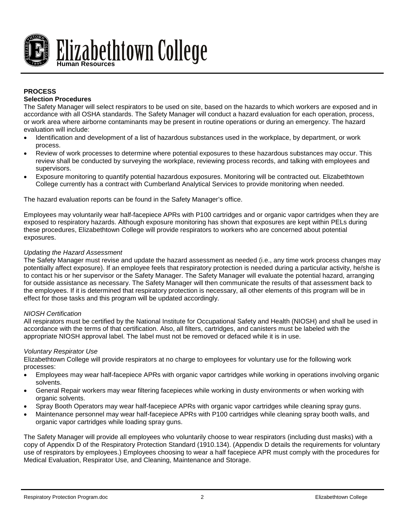

# **PROCESS**

## **Selection Procedures**

The Safety Manager will select respirators to be used on site, based on the hazards to which workers are exposed and in accordance with all OSHA standards. The Safety Manager will conduct a hazard evaluation for each operation, process, or work area where airborne contaminants may be present in routine operations or during an emergency. The hazard evaluation will include:

- Identification and development of a list of hazardous substances used in the workplace, by department, or work process.
- Review of work processes to determine where potential exposures to these hazardous substances may occur. This review shall be conducted by surveying the workplace, reviewing process records, and talking with employees and supervisors.
- Exposure monitoring to quantify potential hazardous exposures. Monitoring will be contracted out. Elizabethtown College currently has a contract with Cumberland Analytical Services to provide monitoring when needed.

The hazard evaluation reports can be found in the Safety Manager's office.

Employees may voluntarily wear half-facepiece APRs with P100 cartridges and or organic vapor cartridges when they are exposed to respiratory hazards. Although exposure monitoring has shown that exposures are kept within PELs during these procedures, Elizabethtown College will provide respirators to workers who are concerned about potential exposures.

## *Updating the Hazard Assessment*

The Safety Manager must revise and update the hazard assessment as needed (i.e., any time work process changes may potentially affect exposure). If an employee feels that respiratory protection is needed during a particular activity, he/she is to contact his or her supervisor or the Safety Manager. The Safety Manager will evaluate the potential hazard, arranging for outside assistance as necessary. The Safety Manager will then communicate the results of that assessment back to the employees. If it is determined that respiratory protection is necessary, all other elements of this program will be in effect for those tasks and this program will be updated accordingly.

#### *NIOSH Certification*

All respirators must be certified by the National Institute for Occupational Safety and Health (NIOSH) and shall be used in accordance with the terms of that certification. Also, all filters, cartridges, and canisters must be labeled with the appropriate NIOSH approval label. The label must not be removed or defaced while it is in use.

#### *Voluntary Respirator Use*

Elizabethtown College will provide respirators at no charge to employees for voluntary use for the following work processes:

- Employees may wear half-facepiece APRs with organic vapor cartridges while working in operations involving organic solvents.
- General Repair workers may wear filtering facepieces while working in dusty environments or when working with organic solvents.
- Spray Booth Operators may wear half-facepiece APRs with organic vapor cartridges while cleaning spray guns.
- Maintenance personnel may wear half-facepiece APRs with P100 cartridges while cleaning spray booth walls, and organic vapor cartridges while loading spray guns.

The Safety Manager will provide all employees who voluntarily choose to wear respirators (including dust masks) with a copy of Appendix D of the Respiratory Protection Standard (1910.134). (Appendix D details the requirements for voluntary use of respirators by employees.) Employees choosing to wear a half facepiece APR must comply with the procedures for Medical Evaluation, Respirator Use, and Cleaning, Maintenance and Storage.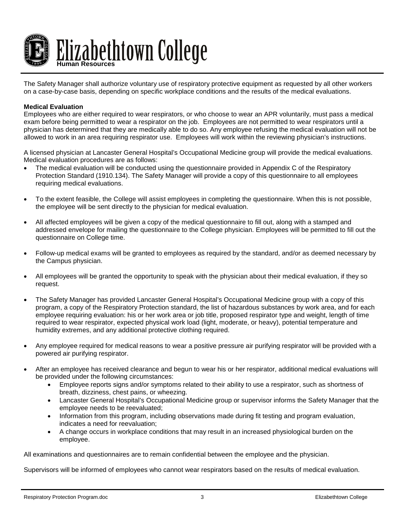

The Safety Manager shall authorize voluntary use of respiratory protective equipment as requested by all other workers on a case-by-case basis, depending on specific workplace conditions and the results of the medical evaluations.

#### **Medical Evaluation**

Employees who are either required to wear respirators, or who choose to wear an APR voluntarily, must pass a medical exam before being permitted to wear a respirator on the job. Employees are not permitted to wear respirators until a physician has determined that they are medically able to do so. Any employee refusing the medical evaluation will not be allowed to work in an area requiring respirator use. Employees will work within the reviewing physician's instructions.

A licensed physician at Lancaster General Hospital's Occupational Medicine group will provide the medical evaluations. Medical evaluation procedures are as follows:

- The medical evaluation will be conducted using the questionnaire provided in Appendix C of the Respiratory Protection Standard (1910.134). The Safety Manager will provide a copy of this questionnaire to all employees requiring medical evaluations.
- To the extent feasible, the College will assist employees in completing the questionnaire. When this is not possible, the employee will be sent directly to the physician for medical evaluation.
- All affected employees will be given a copy of the medical questionnaire to fill out, along with a stamped and addressed envelope for mailing the questionnaire to the College physician. Employees will be permitted to fill out the questionnaire on College time.
- Follow-up medical exams will be granted to employees as required by the standard, and/or as deemed necessary by the Campus physician.
- All employees will be granted the opportunity to speak with the physician about their medical evaluation, if they so request.
- The Safety Manager has provided Lancaster General Hospital's Occupational Medicine group with a copy of this program, a copy of the Respiratory Protection standard, the list of hazardous substances by work area, and for each employee requiring evaluation: his or her work area or job title, proposed respirator type and weight, length of time required to wear respirator, expected physical work load (light, moderate, or heavy), potential temperature and humidity extremes, and any additional protective clothing required.
- Any employee required for medical reasons to wear a positive pressure air purifying respirator will be provided with a powered air purifying respirator.
- After an employee has received clearance and begun to wear his or her respirator, additional medical evaluations will be provided under the following circumstances:
	- Employee reports signs and/or symptoms related to their ability to use a respirator, such as shortness of breath, dizziness, chest pains, or wheezing.
	- Lancaster General Hospital's Occupational Medicine group or supervisor informs the Safety Manager that the employee needs to be reevaluated;
	- Information from this program, including observations made during fit testing and program evaluation, indicates a need for reevaluation;
	- A change occurs in workplace conditions that may result in an increased physiological burden on the employee.

All examinations and questionnaires are to remain confidential between the employee and the physician.

Supervisors will be informed of employees who cannot wear respirators based on the results of medical evaluation.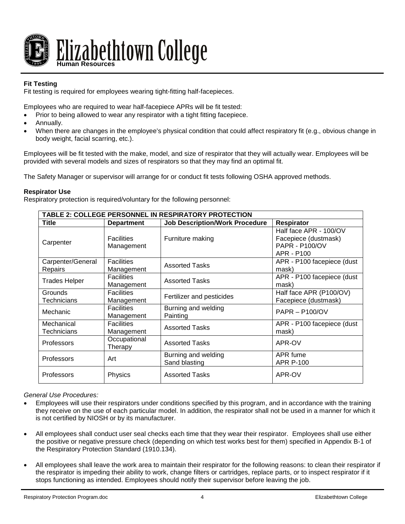

# **Fit Testing**

Fit testing is required for employees wearing tight-fitting half-facepieces.

Employees who are required to wear half-facepiece APRs will be fit tested:

- Prior to being allowed to wear any respirator with a tight fitting facepiece.
- Annually.
- When there are changes in the employee's physical condition that could affect respiratory fit (e.g., obvious change in body weight, facial scarring, etc.).

Employees will be fit tested with the make, model, and size of respirator that they will actually wear. Employees will be provided with several models and sizes of respirators so that they may find an optimal fit.

The Safety Manager or supervisor will arrange for or conduct fit tests following OSHA approved methods.

## **Respirator Use**

Respiratory protection is required/voluntary for the following personnel:

| TABLE 2: COLLEGE PERSONNEL IN RESPIRATORY PROTECTION |                                 |                                       |                                                                                       |
|------------------------------------------------------|---------------------------------|---------------------------------------|---------------------------------------------------------------------------------------|
| Title                                                | <b>Department</b>               | <b>Job Description/Work Procedure</b> | <b>Respirator</b>                                                                     |
| Carpenter                                            | <b>Facilities</b><br>Management | Furniture making                      | Half face APR - 100/OV<br>Facepiece (dustmask)<br><b>PAPR - P100/OV</b><br>APR - P100 |
| Carpenter/General<br>Repairs                         | <b>Facilities</b><br>Management | <b>Assorted Tasks</b>                 | APR - P100 facepiece (dust<br>mask)                                                   |
| <b>Trades Helper</b>                                 | <b>Facilities</b><br>Management | <b>Assorted Tasks</b>                 | APR - P100 facepiece (dust<br>mask)                                                   |
| Grounds<br>Technicians                               | <b>Facilities</b><br>Management | Fertilizer and pesticides             | Half face APR (P100/OV)<br>Facepiece (dustmask)                                       |
| Mechanic                                             | <b>Facilities</b><br>Management | Burning and welding<br>Painting       | $PAPR - P100/OV$                                                                      |
| Mechanical<br>Technicians                            | <b>Facilities</b><br>Management | <b>Assorted Tasks</b>                 | APR - P100 facepiece (dust<br>mask)                                                   |
| Professors                                           | Occupational<br>Therapy         | <b>Assorted Tasks</b>                 | APR-OV                                                                                |
| Professors                                           | Art                             | Burning and welding<br>Sand blasting  | APR fume<br><b>APR P-100</b>                                                          |
| Professors                                           | Physics                         | <b>Assorted Tasks</b>                 | APR-OV                                                                                |

## *General Use Procedures:*

- Employees will use their respirators under conditions specified by this program, and in accordance with the training they receive on the use of each particular model. In addition, the respirator shall not be used in a manner for which it is not certified by NIOSH or by its manufacturer.
- All employees shall conduct user seal checks each time that they wear their respirator. Employees shall use either the positive or negative pressure check (depending on which test works best for them) specified in Appendix B-1 of the Respiratory Protection Standard (1910.134).
- All employees shall leave the work area to maintain their respirator for the following reasons: to clean their respirator if the respirator is impeding their ability to work, change filters or cartridges, replace parts, or to inspect respirator if it stops functioning as intended. Employees should notify their supervisor before leaving the job.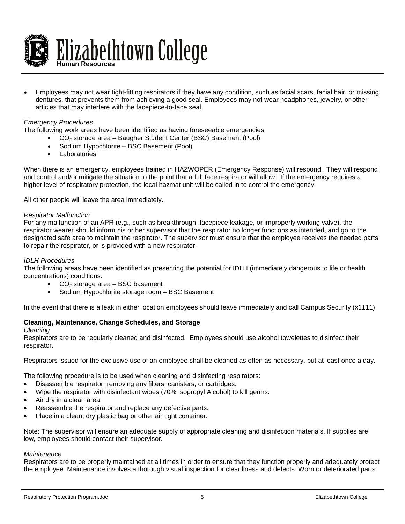

• Employees may not wear tight-fitting respirators if they have any condition, such as facial scars, facial hair, or missing dentures, that prevents them from achieving a good seal. Employees may not wear headphones, jewelry, or other articles that may interfere with the facepiece-to-face seal.

## *Emergency Procedures:*

The following work areas have been identified as having foreseeable emergencies:

- CO2 storage area Baugher Student Center (BSC) Basement (Pool)
	- Sodium Hypochlorite BSC Basement (Pool)
	- **Laboratories**

When there is an emergency, employees trained in HAZWOPER (Emergency Response) will respond. They will respond and control and/or mitigate the situation to the point that a full face respirator will allow. If the emergency requires a higher level of respiratory protection, the local hazmat unit will be called in to control the emergency.

All other people will leave the area immediately.

#### *Respirator Malfunction*

For any malfunction of an APR (e.g., such as breakthrough, facepiece leakage, or improperly working valve), the respirator wearer should inform his or her supervisor that the respirator no longer functions as intended, and go to the designated safe area to maintain the respirator. The supervisor must ensure that the employee receives the needed parts to repair the respirator, or is provided with a new respirator.

## *IDLH Procedures*

The following areas have been identified as presenting the potential for IDLH (immediately dangerous to life or health concentrations) conditions:

- $CO<sub>2</sub>$  storage area BSC basement
- Sodium Hypochlorite storage room BSC Basement

In the event that there is a leak in either location employees should leave immediately and call Campus Security (x1111).

#### **Cleaning, Maintenance, Change Schedules, and Storage**

#### *Cleaning*

Respirators are to be regularly cleaned and disinfected. Employees should use alcohol towelettes to disinfect their respirator.

Respirators issued for the exclusive use of an employee shall be cleaned as often as necessary, but at least once a day.

The following procedure is to be used when cleaning and disinfecting respirators:

- Disassemble respirator, removing any filters, canisters, or cartridges.
- Wipe the respirator with disinfectant wipes (70% Isopropyl Alcohol) to kill germs.
- Air dry in a clean area.
- Reassemble the respirator and replace any defective parts.
- Place in a clean, dry plastic bag or other air tight container.

Note: The supervisor will ensure an adequate supply of appropriate cleaning and disinfection materials. If supplies are low, employees should contact their supervisor.

#### *Maintenance*

Respirators are to be properly maintained at all times in order to ensure that they function properly and adequately protect the employee. Maintenance involves a thorough visual inspection for cleanliness and defects. Worn or deteriorated parts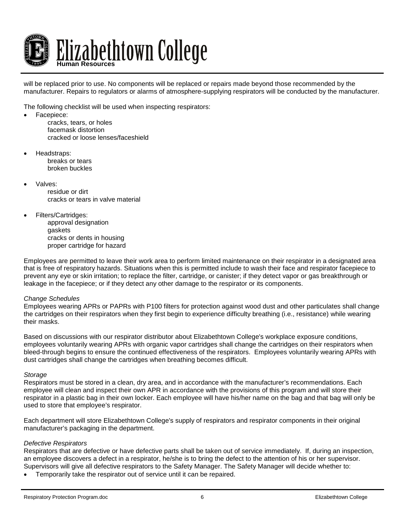

will be replaced prior to use. No components will be replaced or repairs made beyond those recommended by the manufacturer. Repairs to regulators or alarms of atmosphere-supplying respirators will be conducted by the manufacturer.

The following checklist will be used when inspecting respirators:

- Facepiece:
	- cracks, tears, or holes facemask distortion cracked or loose lenses/faceshield
- Headstraps: breaks or tears broken buckles
	- Valves: residue or dirt cracks or tears in valve material
- Filters/Cartridges: approval designation gaskets cracks or dents in housing proper cartridge for hazard

Employees are permitted to leave their work area to perform limited maintenance on their respirator in a designated area that is free of respiratory hazards. Situations when this is permitted include to wash their face and respirator facepiece to prevent any eye or skin irritation; to replace the filter, cartridge, or canister; if they detect vapor or gas breakthrough or leakage in the facepiece; or if they detect any other damage to the respirator or its components.

#### *Change Schedules*

Employees wearing APRs or PAPRs with P100 filters for protection against wood dust and other particulates shall change the cartridges on their respirators when they first begin to experience difficulty breathing (i.e., resistance) while wearing their masks.

Based on discussions with our respirator distributor about Elizabethtown College's workplace exposure conditions, employees voluntarily wearing APRs with organic vapor cartridges shall change the cartridges on their respirators when bleed-through begins to ensure the continued effectiveness of the respirators. Employees voluntarily wearing APRs with dust cartridges shall change the cartridges when breathing becomes difficult.

#### *Storage*

Respirators must be stored in a clean, dry area, and in accordance with the manufacturer's recommendations. Each employee will clean and inspect their own APR in accordance with the provisions of this program and will store their respirator in a plastic bag in their own locker. Each employee will have his/her name on the bag and that bag will only be used to store that employee's respirator.

Each department will store Elizabethtown College's supply of respirators and respirator components in their original manufacturer's packaging in the department.

#### *Defective Respirators*

Respirators that are defective or have defective parts shall be taken out of service immediately. If, during an inspection, an employee discovers a defect in a respirator, he/she is to bring the defect to the attention of his or her supervisor. Supervisors will give all defective respirators to the Safety Manager. The Safety Manager will decide whether to:

• Temporarily take the respirator out of service until it can be repaired.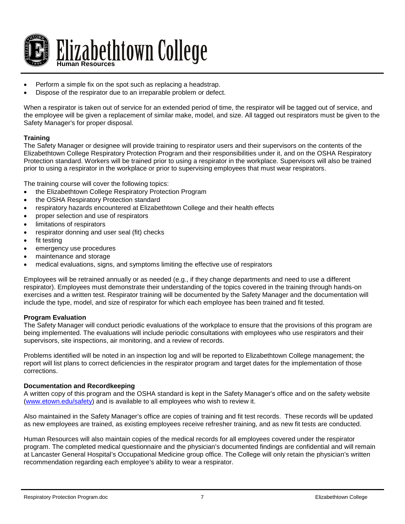

- Perform a simple fix on the spot such as replacing a headstrap.
- Dispose of the respirator due to an irreparable problem or defect.

When a respirator is taken out of service for an extended period of time, the respirator will be tagged out of service, and the employee will be given a replacement of similar make, model, and size. All tagged out respirators must be given to the Safety Manager's for proper disposal.

## **Training**

The Safety Manager or designee will provide training to respirator users and their supervisors on the contents of the Elizabethtown College Respiratory Protection Program and their responsibilities under it, and on the OSHA Respiratory Protection standard. Workers will be trained prior to using a respirator in the workplace. Supervisors will also be trained prior to using a respirator in the workplace or prior to supervising employees that must wear respirators.

The training course will cover the following topics:

- the Elizabethtown College Respiratory Protection Program
- the OSHA Respiratory Protection standard
- respiratory hazards encountered at Elizabethtown College and their health effects
- proper selection and use of respirators
- limitations of respirators
- respirator donning and user seal (fit) checks
- fit testing
- emergency use procedures
- maintenance and storage
- medical evaluations, signs, and symptoms limiting the effective use of respirators

Employees will be retrained annually or as needed (e.g., if they change departments and need to use a different respirator). Employees must demonstrate their understanding of the topics covered in the training through hands-on exercises and a written test. Respirator training will be documented by the Safety Manager and the documentation will include the type, model, and size of respirator for which each employee has been trained and fit tested.

## **Program Evaluation**

The Safety Manager will conduct periodic evaluations of the workplace to ensure that the provisions of this program are being implemented. The evaluations will include periodic consultations with employees who use respirators and their supervisors, site inspections, air monitoring, and a review of records.

Problems identified will be noted in an inspection log and will be reported to Elizabethtown College management; the report will list plans to correct deficiencies in the respirator program and target dates for the implementation of those corrections.

#### **Documentation and Recordkeeping**

A written copy of this program and the OSHA standard is kept in the Safety Manager's office and on the safety website [\(www.etown.edu/safety\)](http://www.etown.edu/safety) and is available to all employees who wish to review it.

Also maintained in the Safety Manager's office are copies of training and fit test records. These records will be updated as new employees are trained, as existing employees receive refresher training, and as new fit tests are conducted.

Human Resources will also maintain copies of the medical records for all employees covered under the respirator program. The completed medical questionnaire and the physician's documented findings are confidential and will remain at Lancaster General Hospital's Occupational Medicine group office. The College will only retain the physician's written recommendation regarding each employee's ability to wear a respirator.